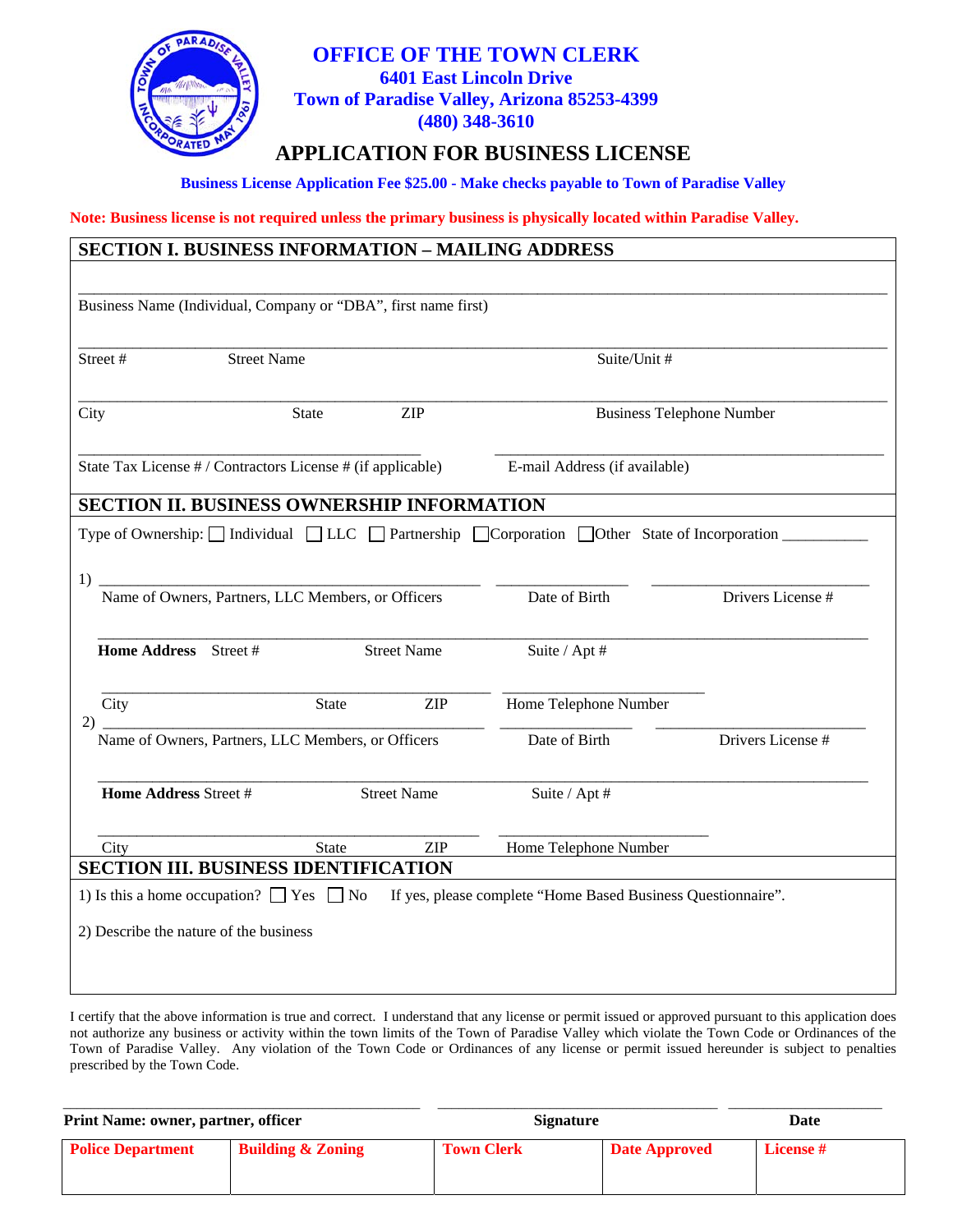

#### **OFFICE OF THE TOWN CLERK 6401 East Lincoln Drive Town of Paradise Valley, Arizona 85253-4399 (480) 348-3610**

### **APPLICATION FOR BUSINESS LICENSE**

**Business License Application Fee \$25.00 - Make checks payable to Town of Paradise Valley** 

**Note: Business license is not required unless the primary business is physically located within Paradise Valley.** 

| Business Name (Individual, Company or "DBA", first name first)                                                            |                                             |              |                                             |                               |                       |                   |
|---------------------------------------------------------------------------------------------------------------------------|---------------------------------------------|--------------|---------------------------------------------|-------------------------------|-----------------------|-------------------|
| Street#                                                                                                                   | <b>Street Name</b>                          |              |                                             | Suite/Unit #                  |                       |                   |
| City                                                                                                                      | <b>ZIP</b><br><b>State</b>                  |              | <b>Business Telephone Number</b>            |                               |                       |                   |
| State Tax License # / Contractors License # (if applicable)                                                               |                                             |              |                                             | E-mail Address (if available) |                       |                   |
| <b>SECTION II. BUSINESS OWNERSHIP INFORMATION</b>                                                                         |                                             |              |                                             |                               |                       |                   |
| Type of Ownership: $\Box$ Individual $\Box$ LLC $\Box$ Partnership $\Box$ Corporation $\Box$ Other State of Incorporation |                                             |              |                                             |                               |                       |                   |
|                                                                                                                           |                                             |              |                                             |                               |                       |                   |
| 1)<br>Name of Owners, Partners, LLC Members, or Officers                                                                  |                                             |              |                                             | Date of Birth                 |                       | Drivers License # |
|                                                                                                                           |                                             |              |                                             |                               |                       |                   |
| Home Address Street #                                                                                                     |                                             |              | <b>Street Name</b>                          | Suite / Apt #                 |                       |                   |
|                                                                                                                           |                                             |              |                                             |                               |                       |                   |
| City<br>2)                                                                                                                |                                             | <b>State</b> | <b>ZIP</b>                                  |                               | Home Telephone Number |                   |
| Name of Owners, Partners, LLC Members, or Officers                                                                        |                                             |              |                                             | Date of Birth                 |                       | Drivers License # |
|                                                                                                                           |                                             |              |                                             |                               |                       |                   |
|                                                                                                                           | Home Address Street #<br><b>Street Name</b> |              | Suite / Apt #                               |                               |                       |                   |
|                                                                                                                           |                                             | <b>State</b> | <b>ZIP</b>                                  |                               | Home Telephone Number |                   |
| City                                                                                                                      |                                             |              | <b>SECTION III. BUSINESS IDENTIFICATION</b> |                               |                       |                   |

I certify that the above information is true and correct. I understand that any license or permit issued or approved pursuant to this application does not authorize any business or activity within the town limits of the Town of Paradise Valley which violate the Town Code or Ordinances of the Town of Paradise Valley. Any violation of the Town Code or Ordinances of any license or permit issued hereunder is subject to penalties prescribed by the Town Code.

**Print Name: owner, partner, officer Signature Signature Date Communisty Communisty Communisty Communisty Communisty Communisty Communisty Communisty Communisty Communisty Communisty Communisty Communisty Communisty Commun Police Department Building & Zoning Town Clerk Date Approved License #** 

\_\_\_\_\_\_\_\_\_\_\_\_\_\_\_\_\_\_\_\_\_\_\_\_\_\_\_\_\_\_\_\_\_\_\_\_\_\_\_\_\_\_\_\_\_\_\_\_\_\_\_ \_\_\_\_\_\_\_\_\_\_\_\_\_\_\_\_\_\_\_\_\_\_\_\_\_\_\_\_\_\_\_\_\_\_\_\_\_\_\_\_ \_\_\_\_\_\_\_\_\_\_\_\_\_\_\_\_\_\_\_\_\_\_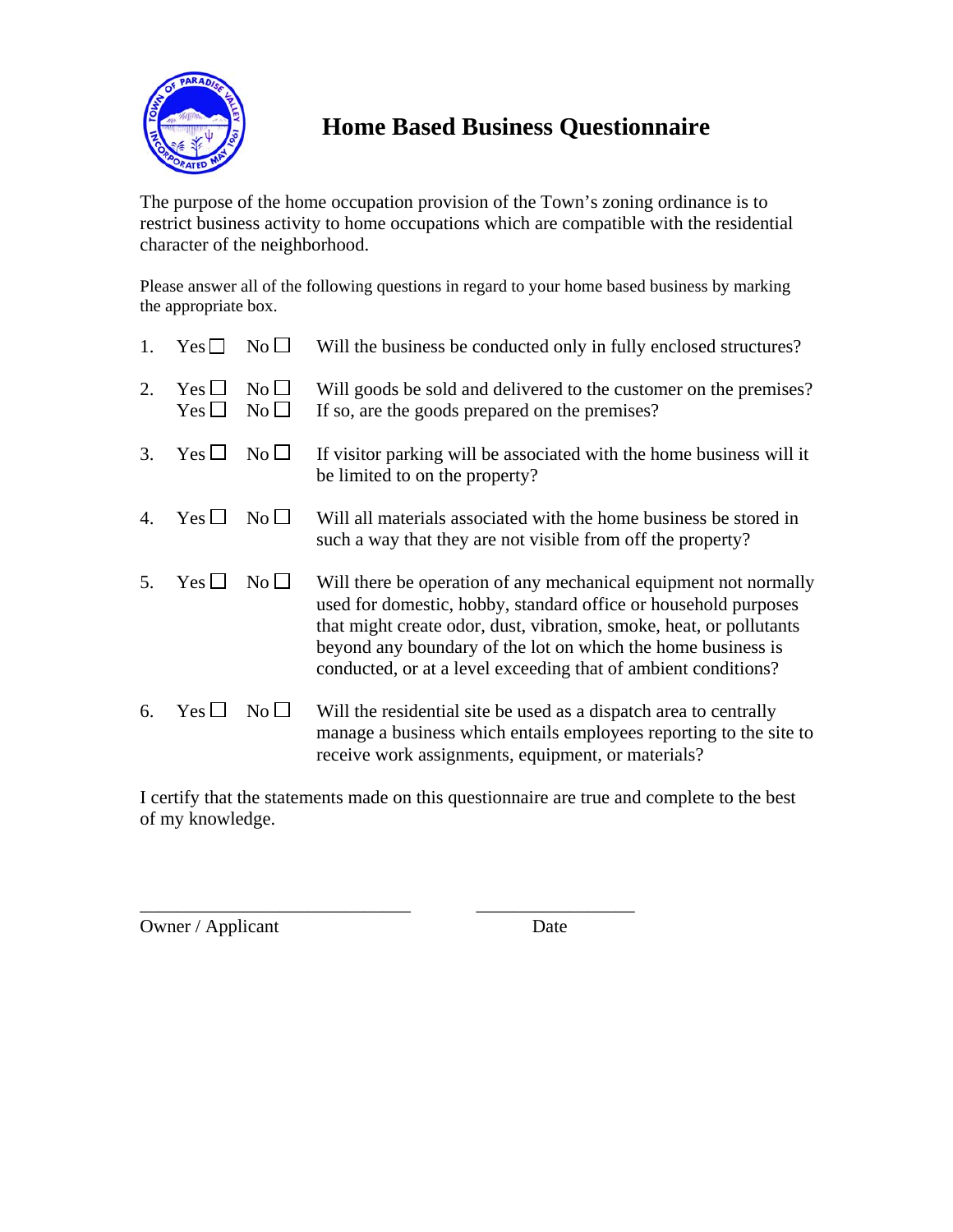

## **Home Based Business Questionnaire**

The purpose of the home occupation provision of the Town's zoning ordinance is to restrict business activity to home occupations which are compatible with the residential character of the neighborhood.

Please answer all of the following questions in regard to your home based business by marking the appropriate box.

| 1. | Yes L                    | $\rm No \,\Box$   | Will the business be conducted only in fully enclosed structures?                                                                                                                                                                                                                                                                            |
|----|--------------------------|-------------------|----------------------------------------------------------------------------------------------------------------------------------------------------------------------------------------------------------------------------------------------------------------------------------------------------------------------------------------------|
| 2. | $Yes \Box$<br>Yes $\Box$ | $No$ $\Box$<br>No | Will goods be sold and delivered to the customer on the premises?<br>If so, are the goods prepared on the premises?                                                                                                                                                                                                                          |
| 3. | $Yes \Box$               | $No$ $\Box$       | If visitor parking will be associated with the home business will it<br>be limited to on the property?                                                                                                                                                                                                                                       |
| 4. | $Yes \Box$               | $\rm No$ $\Box$   | Will all materials associated with the home business be stored in<br>such a way that they are not visible from off the property?                                                                                                                                                                                                             |
| 5. | $Yes$ $\Box$             | $No$ $\Box$       | Will there be operation of any mechanical equipment not normally<br>used for domestic, hobby, standard office or household purposes<br>that might create odor, dust, vibration, smoke, heat, or pollutants<br>beyond any boundary of the lot on which the home business is<br>conducted, or at a level exceeding that of ambient conditions? |
| 6. | $Yes \Box$               | $\rm No$ $\Box$   | Will the residential site be used as a dispatch area to centrally<br>manage a business which entails employees reporting to the site to<br>receive work assignments, equipment, or materials?                                                                                                                                                |

I certify that the statements made on this questionnaire are true and complete to the best of my knowledge.

\_\_\_\_\_\_\_\_\_\_\_\_\_\_\_\_\_\_\_\_\_\_\_\_\_\_\_\_\_ \_\_\_\_\_\_\_\_\_\_\_\_\_\_\_\_\_

Owner / Applicant Date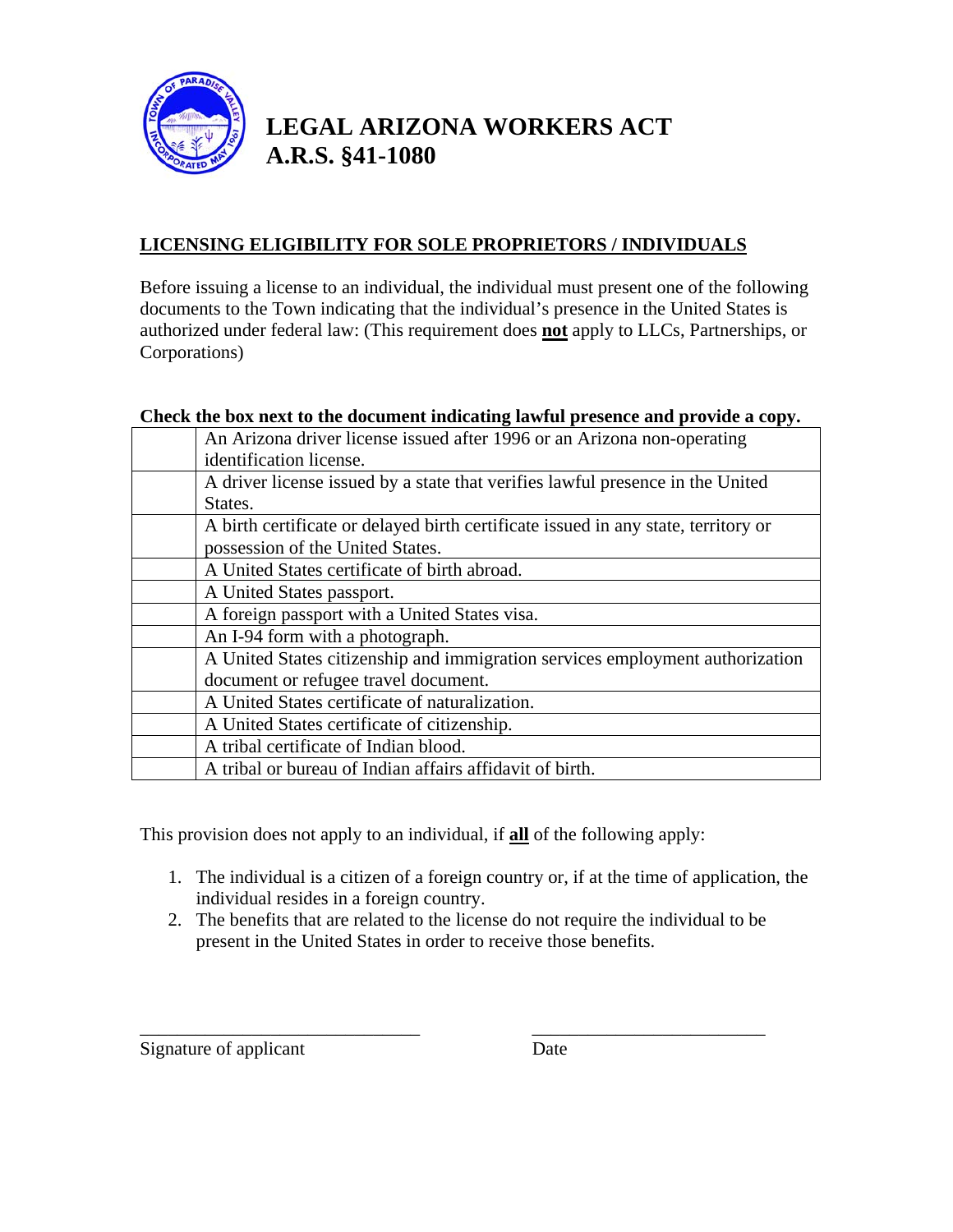

### **LEGAL ARIZONA WORKERS ACT A.R.S. §41-1080**

### **LICENSING ELIGIBILITY FOR SOLE PROPRIETORS / INDIVIDUALS**

Before issuing a license to an individual, the individual must present one of the following documents to the Town indicating that the individual's presence in the United States is authorized under federal law: (This requirement does **not** apply to LLCs, Partnerships, or Corporations)

#### **Check the box next to the document indicating lawful presence and provide a copy.**

| An Arizona driver license issued after 1996 or an Arizona non-operating            |
|------------------------------------------------------------------------------------|
| identification license.                                                            |
| A driver license issued by a state that verifies lawful presence in the United     |
| States.                                                                            |
| A birth certificate or delayed birth certificate issued in any state, territory or |
| possession of the United States.                                                   |
| A United States certificate of birth abroad.                                       |
| A United States passport.                                                          |
| A foreign passport with a United States visa.                                      |
| An I-94 form with a photograph.                                                    |
| A United States citizenship and immigration services employment authorization      |
| document or refugee travel document.                                               |
| A United States certificate of naturalization.                                     |
| A United States certificate of citizenship.                                        |
| A tribal certificate of Indian blood.                                              |
| A tribal or bureau of Indian affairs affidavit of birth.                           |

This provision does not apply to an individual, if **all** of the following apply:

- 1. The individual is a citizen of a foreign country or, if at the time of application, the individual resides in a foreign country.
- 2. The benefits that are related to the license do not require the individual to be present in the United States in order to receive those benefits.

\_\_\_\_\_\_\_\_\_\_\_\_\_\_\_\_\_\_\_\_\_\_\_\_\_\_\_\_\_\_ \_\_\_\_\_\_\_\_\_\_\_\_\_\_\_\_\_\_\_\_\_\_\_\_\_

Signature of applicant Date